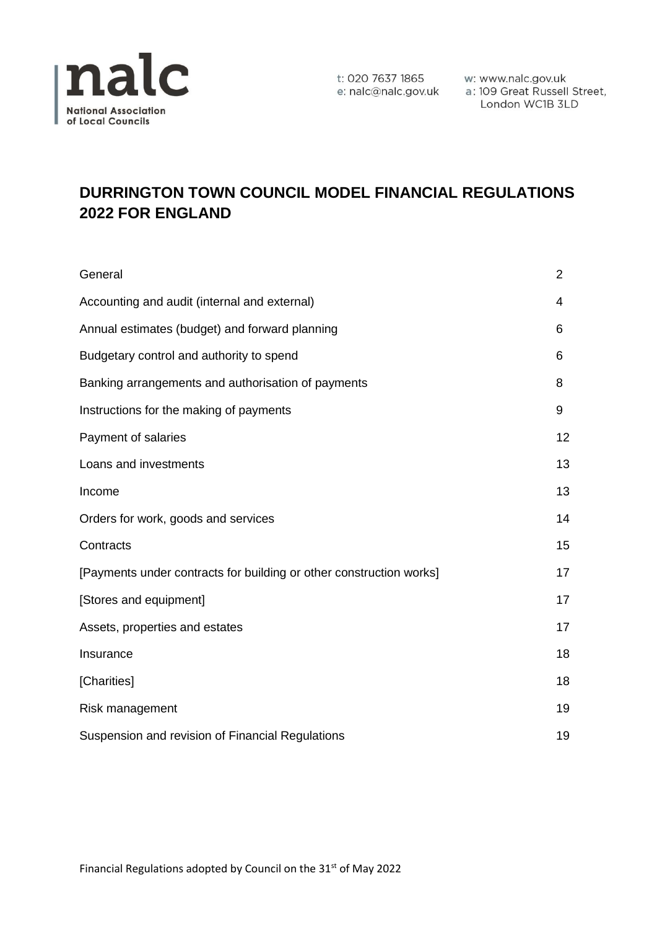

t: 020 7637 1865 w: www.nalc.gov.uk<br>e: nalc@nalc.gov.uk a : 109 Great Russell Street, London WC1B 3LD

# **DURRINGTON TOWN COUNCIL MODEL FINANCIAL REGULATIONS 2022 FOR ENGLAND**

| General                                                             | 2  |
|---------------------------------------------------------------------|----|
| Accounting and audit (internal and external)                        | 4  |
| Annual estimates (budget) and forward planning                      | 6  |
| Budgetary control and authority to spend                            | 6  |
| Banking arrangements and authorisation of payments                  | 8  |
| Instructions for the making of payments                             | 9  |
| Payment of salaries                                                 | 12 |
| Loans and investments                                               | 13 |
| Income                                                              | 13 |
| Orders for work, goods and services                                 | 14 |
| Contracts                                                           | 15 |
| [Payments under contracts for building or other construction works] | 17 |
| [Stores and equipment]                                              | 17 |
| Assets, properties and estates                                      | 17 |
| Insurance                                                           | 18 |
| [Charities]                                                         | 18 |
| Risk management                                                     | 19 |
| Suspension and revision of Financial Regulations                    | 19 |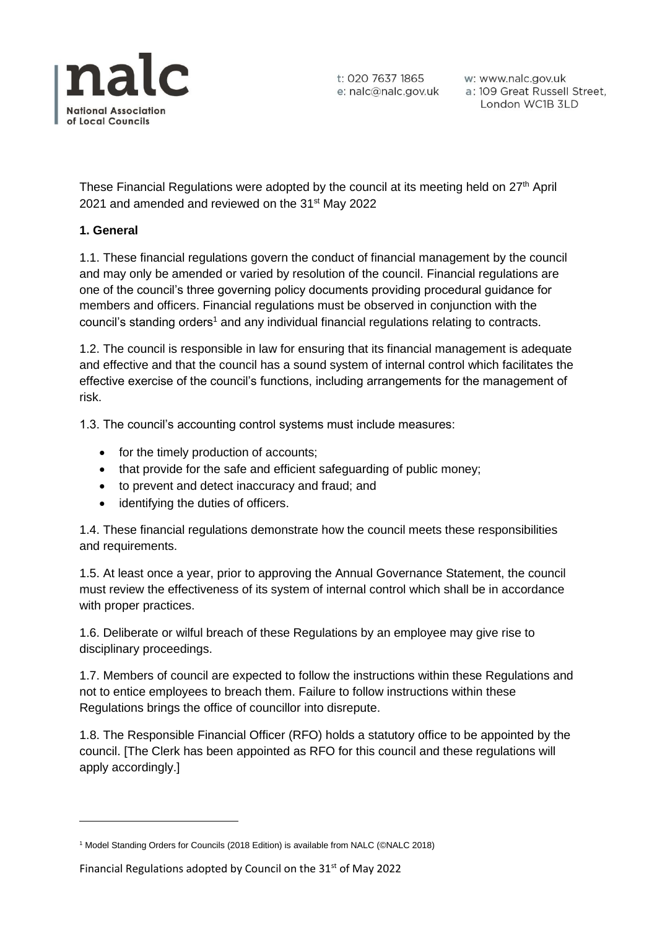

w: www.nalc.gov.uk a: 109 Great Russell Street, London WC1B 3LD

These Financial Regulations were adopted by the council at its meeting held on 27<sup>th</sup> April 2021 and amended and reviewed on the 31<sup>st</sup> May 2022

# **1. General**

1.1. These financial regulations govern the conduct of financial management by the council and may only be amended or varied by resolution of the council. Financial regulations are one of the council's three governing policy documents providing procedural guidance for members and officers. Financial regulations must be observed in conjunction with the council's standing orders<sup>1</sup> and any individual financial regulations relating to contracts.

1.2. The council is responsible in law for ensuring that its financial management is adequate and effective and that the council has a sound system of internal control which facilitates the effective exercise of the council's functions, including arrangements for the management of risk.

1.3. The council's accounting control systems must include measures:

- for the timely production of accounts;
- that provide for the safe and efficient safeguarding of public money;
- to prevent and detect inaccuracy and fraud; and
- identifying the duties of officers.

1.4. These financial regulations demonstrate how the council meets these responsibilities and requirements.

1.5. At least once a year, prior to approving the Annual Governance Statement, the council must review the effectiveness of its system of internal control which shall be in accordance with proper practices.

1.6. Deliberate or wilful breach of these Regulations by an employee may give rise to disciplinary proceedings.

1.7. Members of council are expected to follow the instructions within these Regulations and not to entice employees to breach them. Failure to follow instructions within these Regulations brings the office of councillor into disrepute.

1.8. The Responsible Financial Officer (RFO) holds a statutory office to be appointed by the council. [The Clerk has been appointed as RFO for this council and these regulations will apply accordingly.]

<sup>1</sup> Model Standing Orders for Councils (2018 Edition) is available from NALC (©NALC 2018)

Financial Regulations adopted by Council on the  $31<sup>st</sup>$  of May 2022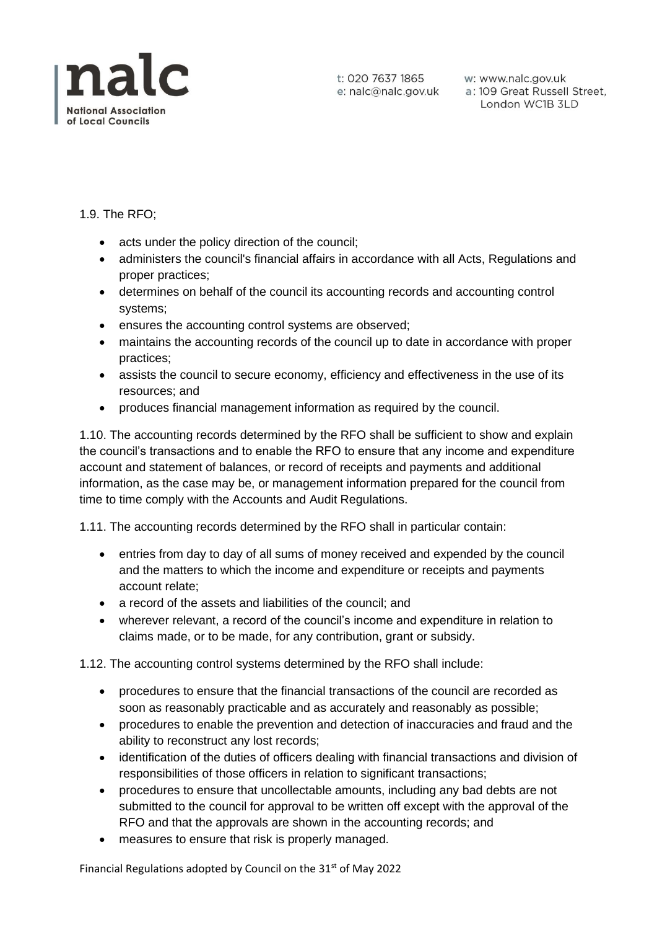

# 1.9. The RFO;

- acts under the policy direction of the council;
- administers the council's financial affairs in accordance with all Acts, Regulations and proper practices;
- determines on behalf of the council its accounting records and accounting control systems;
- ensures the accounting control systems are observed;
- maintains the accounting records of the council up to date in accordance with proper practices;
- assists the council to secure economy, efficiency and effectiveness in the use of its resources; and
- produces financial management information as required by the council.

1.10. The accounting records determined by the RFO shall be sufficient to show and explain the council's transactions and to enable the RFO to ensure that any income and expenditure account and statement of balances, or record of receipts and payments and additional information, as the case may be, or management information prepared for the council from time to time comply with the Accounts and Audit Regulations.

1.11. The accounting records determined by the RFO shall in particular contain:

- entries from day to day of all sums of money received and expended by the council and the matters to which the income and expenditure or receipts and payments account relate;
- a record of the assets and liabilities of the council; and
- wherever relevant, a record of the council's income and expenditure in relation to claims made, or to be made, for any contribution, grant or subsidy.

1.12. The accounting control systems determined by the RFO shall include:

- procedures to ensure that the financial transactions of the council are recorded as soon as reasonably practicable and as accurately and reasonably as possible;
- procedures to enable the prevention and detection of inaccuracies and fraud and the ability to reconstruct any lost records;
- identification of the duties of officers dealing with financial transactions and division of responsibilities of those officers in relation to significant transactions;
- procedures to ensure that uncollectable amounts, including any bad debts are not submitted to the council for approval to be written off except with the approval of the RFO and that the approvals are shown in the accounting records; and
- measures to ensure that risk is properly managed.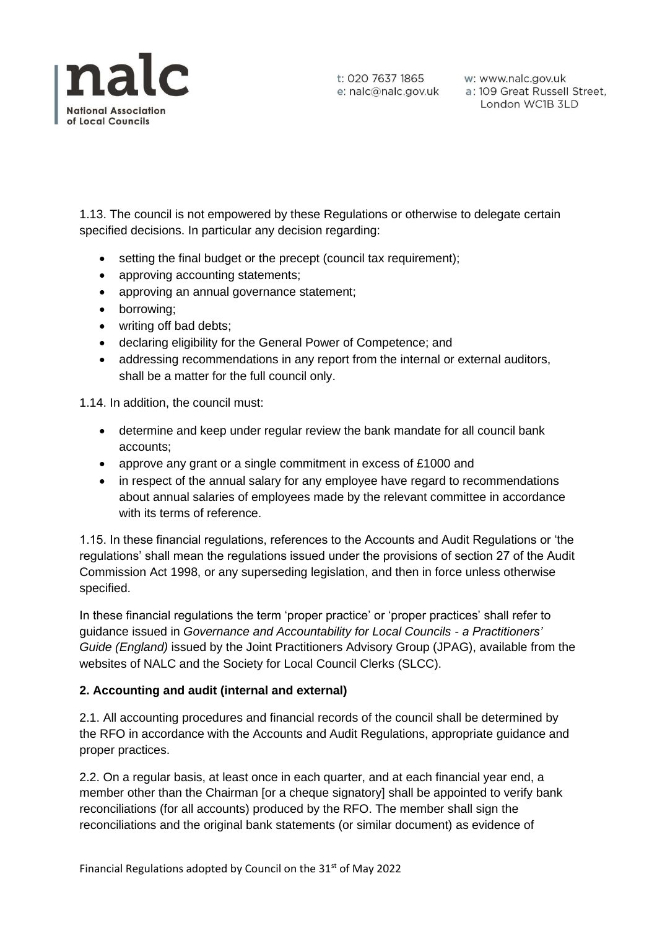

1.13. The council is not empowered by these Regulations or otherwise to delegate certain specified decisions. In particular any decision regarding:

- setting the final budget or the precept (council tax requirement);
- approving accounting statements:
- approving an annual governance statement;
- borrowing;
- writing off bad debts;
- declaring eligibility for the General Power of Competence; and
- addressing recommendations in any report from the internal or external auditors, shall be a matter for the full council only.

1.14. In addition, the council must:

- determine and keep under regular review the bank mandate for all council bank accounts;
- approve any grant or a single commitment in excess of £1000 and
- in respect of the annual salary for any employee have regard to recommendations about annual salaries of employees made by the relevant committee in accordance with its terms of reference.

1.15. In these financial regulations, references to the Accounts and Audit Regulations or 'the regulations' shall mean the regulations issued under the provisions of section 27 of the Audit Commission Act 1998, or any superseding legislation, and then in force unless otherwise specified.

In these financial regulations the term 'proper practice' or 'proper practices' shall refer to guidance issued in *Governance and Accountability for Local Councils - a Practitioners' Guide (England)* issued by the Joint Practitioners Advisory Group (JPAG), available from the websites of NALC and the Society for Local Council Clerks (SLCC).

# **2. Accounting and audit (internal and external)**

2.1. All accounting procedures and financial records of the council shall be determined by the RFO in accordance with the Accounts and Audit Regulations, appropriate guidance and proper practices.

2.2. On a regular basis, at least once in each quarter, and at each financial year end, a member other than the Chairman [or a cheque signatory] shall be appointed to verify bank reconciliations (for all accounts) produced by the RFO. The member shall sign the reconciliations and the original bank statements (or similar document) as evidence of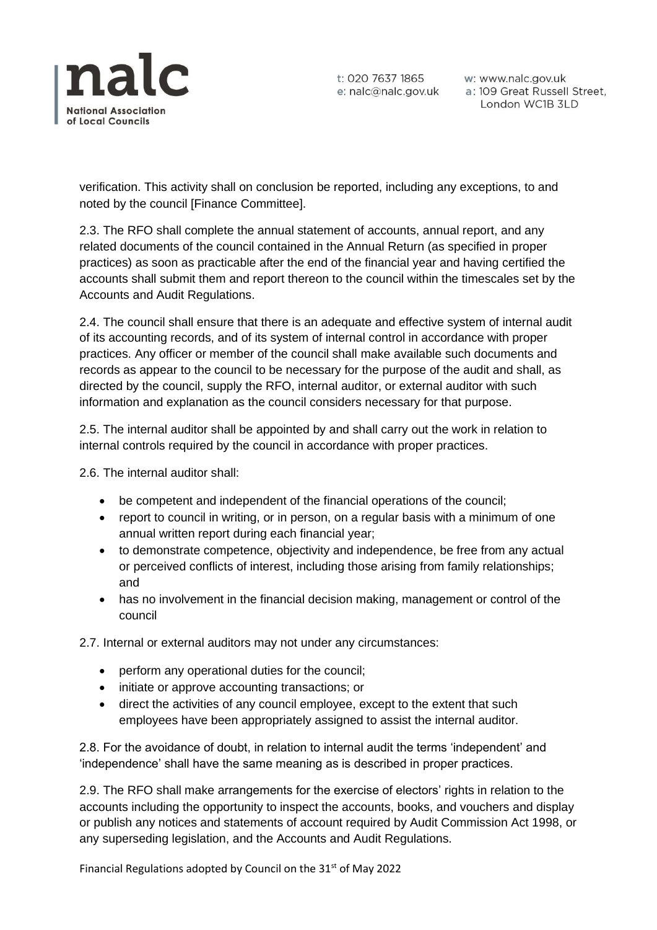

t: 020 7637 1865 w: www.nalc.gov.uk<br>e: nalc@nalc.gov.uk a: 109 Great Russell Street, London WC1B 3LD

verification. This activity shall on conclusion be reported, including any exceptions, to and noted by the council [Finance Committee].

2.3. The RFO shall complete the annual statement of accounts, annual report, and any related documents of the council contained in the Annual Return (as specified in proper practices) as soon as practicable after the end of the financial year and having certified the accounts shall submit them and report thereon to the council within the timescales set by the Accounts and Audit Regulations.

2.4. The council shall ensure that there is an adequate and effective system of internal audit of its accounting records, and of its system of internal control in accordance with proper practices. Any officer or member of the council shall make available such documents and records as appear to the council to be necessary for the purpose of the audit and shall, as directed by the council, supply the RFO, internal auditor, or external auditor with such information and explanation as the council considers necessary for that purpose.

2.5. The internal auditor shall be appointed by and shall carry out the work in relation to internal controls required by the council in accordance with proper practices.

2.6. The internal auditor shall:

- be competent and independent of the financial operations of the council;
- report to council in writing, or in person, on a regular basis with a minimum of one annual written report during each financial year;
- to demonstrate competence, objectivity and independence, be free from any actual or perceived conflicts of interest, including those arising from family relationships; and
- has no involvement in the financial decision making, management or control of the council

2.7. Internal or external auditors may not under any circumstances:

- perform any operational duties for the council;
- initiate or approve accounting transactions; or
- direct the activities of any council employee, except to the extent that such employees have been appropriately assigned to assist the internal auditor.

2.8. For the avoidance of doubt, in relation to internal audit the terms 'independent' and 'independence' shall have the same meaning as is described in proper practices.

2.9. The RFO shall make arrangements for the exercise of electors' rights in relation to the accounts including the opportunity to inspect the accounts, books, and vouchers and display or publish any notices and statements of account required by Audit Commission Act 1998, or any superseding legislation, and the Accounts and Audit Regulations.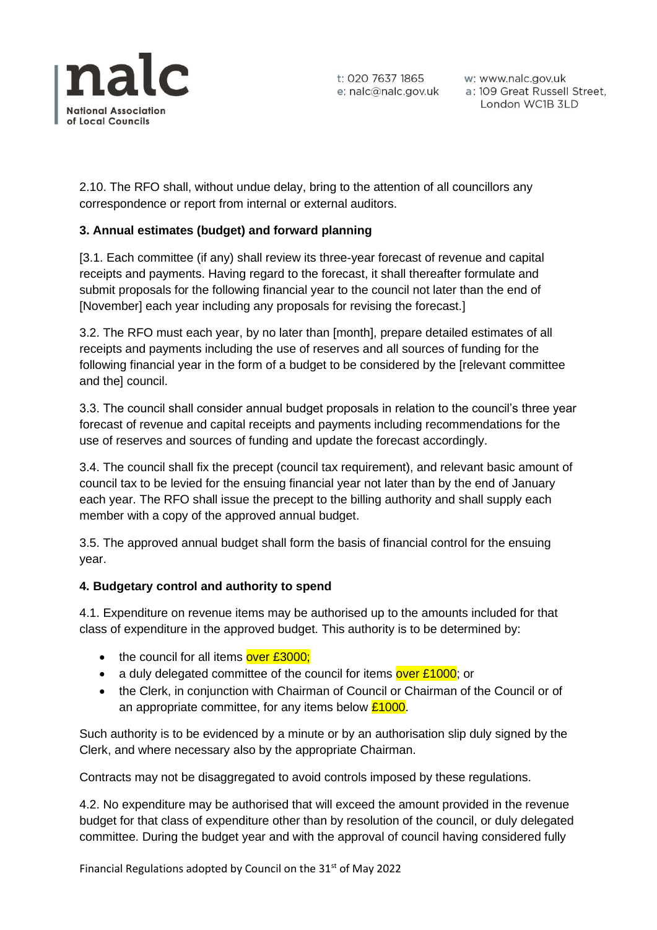

w: www.nalc.gov.uk a: 109 Great Russell Street, London WC1B 3LD

2.10. The RFO shall, without undue delay, bring to the attention of all councillors any correspondence or report from internal or external auditors.

# **3. Annual estimates (budget) and forward planning**

[3.1. Each committee (if any) shall review its three-year forecast of revenue and capital receipts and payments. Having regard to the forecast, it shall thereafter formulate and submit proposals for the following financial year to the council not later than the end of [November] each year including any proposals for revising the forecast.]

3.2. The RFO must each year, by no later than [month], prepare detailed estimates of all receipts and payments including the use of reserves and all sources of funding for the following financial year in the form of a budget to be considered by the [relevant committee and the] council.

3.3. The council shall consider annual budget proposals in relation to the council's three year forecast of revenue and capital receipts and payments including recommendations for the use of reserves and sources of funding and update the forecast accordingly.

3.4. The council shall fix the precept (council tax requirement), and relevant basic amount of council tax to be levied for the ensuing financial year not later than by the end of January each year. The RFO shall issue the precept to the billing authority and shall supply each member with a copy of the approved annual budget.

3.5. The approved annual budget shall form the basis of financial control for the ensuing year.

#### **4. Budgetary control and authority to spend**

4.1. Expenditure on revenue items may be authorised up to the amounts included for that class of expenditure in the approved budget. This authority is to be determined by:

- the council for all items over £3000;
- a duly delegated committee of the council for items over £1000; or
- the Clerk, in conjunction with Chairman of Council or Chairman of the Council or of an appropriate committee, for any items below  $£1000$ .

Such authority is to be evidenced by a minute or by an authorisation slip duly signed by the Clerk, and where necessary also by the appropriate Chairman.

Contracts may not be disaggregated to avoid controls imposed by these regulations.

4.2. No expenditure may be authorised that will exceed the amount provided in the revenue budget for that class of expenditure other than by resolution of the council, or duly delegated committee. During the budget year and with the approval of council having considered fully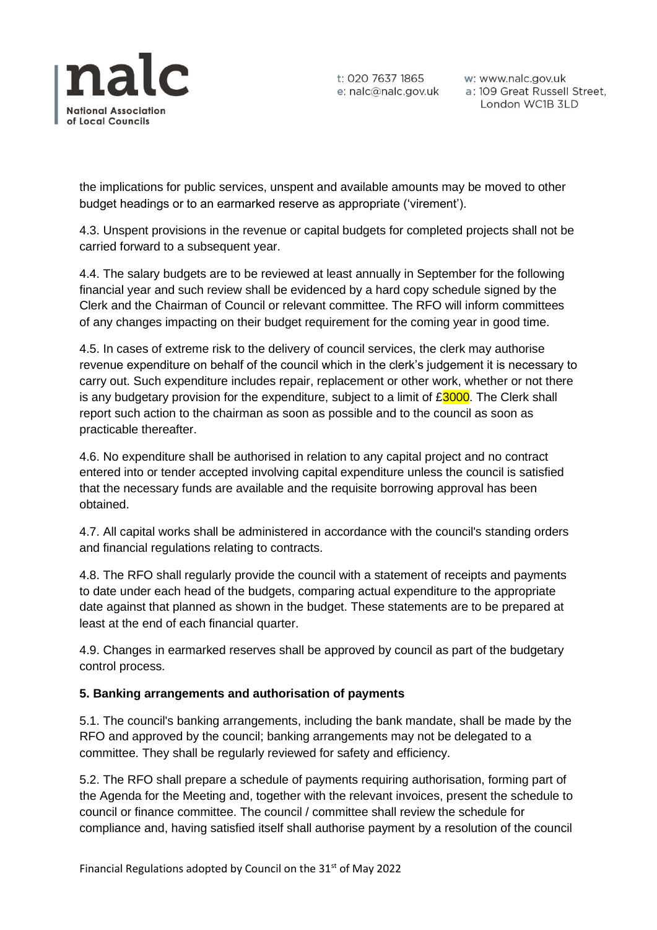

w: www.nalc.gov.uk a: 109 Great Russell Street, London WC1B 3LD

the implications for public services, unspent and available amounts may be moved to other budget headings or to an earmarked reserve as appropriate ('virement').

4.3. Unspent provisions in the revenue or capital budgets for completed projects shall not be carried forward to a subsequent year.

4.4. The salary budgets are to be reviewed at least annually in September for the following financial year and such review shall be evidenced by a hard copy schedule signed by the Clerk and the Chairman of Council or relevant committee. The RFO will inform committees of any changes impacting on their budget requirement for the coming year in good time.

4.5. In cases of extreme risk to the delivery of council services, the clerk may authorise revenue expenditure on behalf of the council which in the clerk's judgement it is necessary to carry out. Such expenditure includes repair, replacement or other work, whether or not there is any budgetary provision for the expenditure, subject to a limit of  $£3000$ . The Clerk shall report such action to the chairman as soon as possible and to the council as soon as practicable thereafter.

4.6. No expenditure shall be authorised in relation to any capital project and no contract entered into or tender accepted involving capital expenditure unless the council is satisfied that the necessary funds are available and the requisite borrowing approval has been obtained.

4.7. All capital works shall be administered in accordance with the council's standing orders and financial regulations relating to contracts.

4.8. The RFO shall regularly provide the council with a statement of receipts and payments to date under each head of the budgets, comparing actual expenditure to the appropriate date against that planned as shown in the budget. These statements are to be prepared at least at the end of each financial quarter.

4.9. Changes in earmarked reserves shall be approved by council as part of the budgetary control process.

# **5. Banking arrangements and authorisation of payments**

5.1. The council's banking arrangements, including the bank mandate, shall be made by the RFO and approved by the council; banking arrangements may not be delegated to a committee. They shall be regularly reviewed for safety and efficiency.

5.2. The RFO shall prepare a schedule of payments requiring authorisation, forming part of the Agenda for the Meeting and, together with the relevant invoices, present the schedule to council or finance committee. The council / committee shall review the schedule for compliance and, having satisfied itself shall authorise payment by a resolution of the council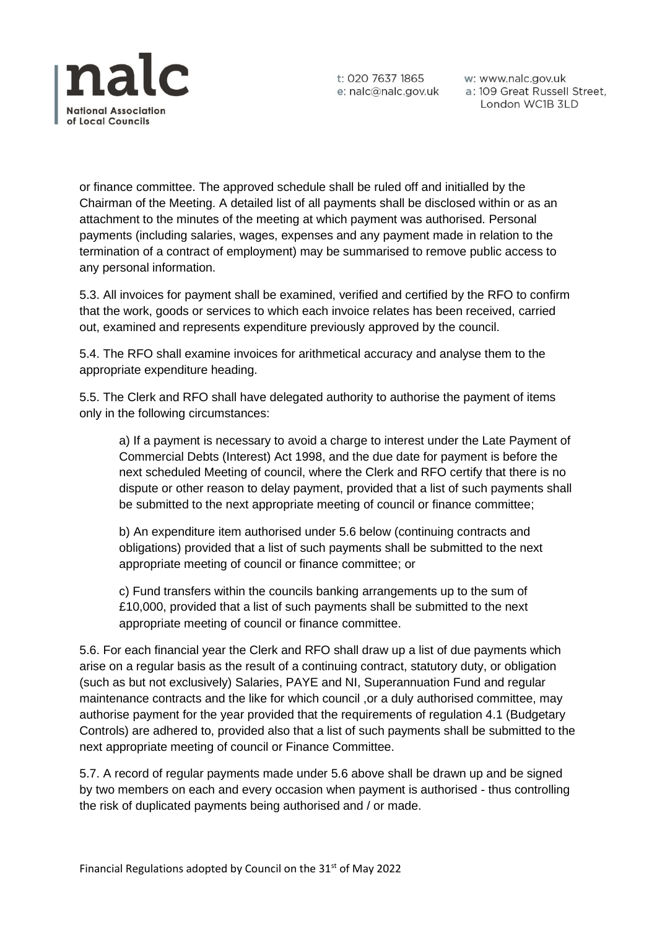

w: www.nalc.gov.uk a: 109 Great Russell Street, London WC1B 3LD

or finance committee. The approved schedule shall be ruled off and initialled by the Chairman of the Meeting. A detailed list of all payments shall be disclosed within or as an attachment to the minutes of the meeting at which payment was authorised. Personal payments (including salaries, wages, expenses and any payment made in relation to the termination of a contract of employment) may be summarised to remove public access to any personal information.

5.3. All invoices for payment shall be examined, verified and certified by the RFO to confirm that the work, goods or services to which each invoice relates has been received, carried out, examined and represents expenditure previously approved by the council.

5.4. The RFO shall examine invoices for arithmetical accuracy and analyse them to the appropriate expenditure heading.

5.5. The Clerk and RFO shall have delegated authority to authorise the payment of items only in the following circumstances:

a) If a payment is necessary to avoid a charge to interest under the Late Payment of Commercial Debts (Interest) Act 1998, and the due date for payment is before the next scheduled Meeting of council, where the Clerk and RFO certify that there is no dispute or other reason to delay payment, provided that a list of such payments shall be submitted to the next appropriate meeting of council or finance committee;

b) An expenditure item authorised under 5.6 below (continuing contracts and obligations) provided that a list of such payments shall be submitted to the next appropriate meeting of council or finance committee; or

c) Fund transfers within the councils banking arrangements up to the sum of £10,000, provided that a list of such payments shall be submitted to the next appropriate meeting of council or finance committee.

5.6. For each financial year the Clerk and RFO shall draw up a list of due payments which arise on a regular basis as the result of a continuing contract, statutory duty, or obligation (such as but not exclusively) Salaries, PAYE and NI, Superannuation Fund and regular maintenance contracts and the like for which council ,or a duly authorised committee, may authorise payment for the year provided that the requirements of regulation 4.1 (Budgetary Controls) are adhered to, provided also that a list of such payments shall be submitted to the next appropriate meeting of council or Finance Committee.

5.7. A record of regular payments made under 5.6 above shall be drawn up and be signed by two members on each and every occasion when payment is authorised - thus controlling the risk of duplicated payments being authorised and / or made.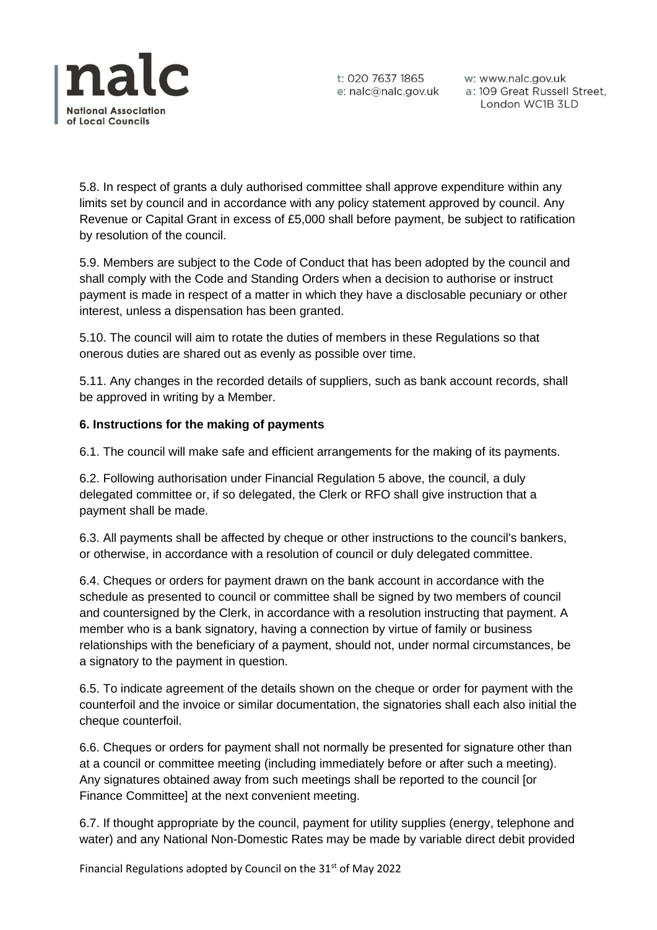

w: www.nalc.gov.uk a: 109 Great Russell Street, London WC1B 3LD

5.8. In respect of grants a duly authorised committee shall approve expenditure within any limits set by council and in accordance with any policy statement approved by council. Any Revenue or Capital Grant in excess of £5,000 shall before payment, be subject to ratification by resolution of the council.

5.9. Members are subject to the Code of Conduct that has been adopted by the council and shall comply with the Code and Standing Orders when a decision to authorise or instruct payment is made in respect of a matter in which they have a disclosable pecuniary or other interest, unless a dispensation has been granted.

5.10. The council will aim to rotate the duties of members in these Regulations so that onerous duties are shared out as evenly as possible over time.

5.11. Any changes in the recorded details of suppliers, such as bank account records, shall be approved in writing by a Member.

## **6. Instructions for the making of payments**

6.1. The council will make safe and efficient arrangements for the making of its payments.

6.2. Following authorisation under Financial Regulation 5 above, the council, a duly delegated committee or, if so delegated, the Clerk or RFO shall give instruction that a payment shall be made.

6.3. All payments shall be affected by cheque or other instructions to the council's bankers, or otherwise, in accordance with a resolution of council or duly delegated committee.

6.4. Cheques or orders for payment drawn on the bank account in accordance with the schedule as presented to council or committee shall be signed by two members of council and countersigned by the Clerk, in accordance with a resolution instructing that payment. A member who is a bank signatory, having a connection by virtue of family or business relationships with the beneficiary of a payment, should not, under normal circumstances, be a signatory to the payment in question.

6.5. To indicate agreement of the details shown on the cheque or order for payment with the counterfoil and the invoice or similar documentation, the signatories shall each also initial the cheque counterfoil.

6.6. Cheques or orders for payment shall not normally be presented for signature other than at a council or committee meeting (including immediately before or after such a meeting). Any signatures obtained away from such meetings shall be reported to the council [or Finance Committee] at the next convenient meeting.

6.7. If thought appropriate by the council, payment for utility supplies (energy, telephone and water) and any National Non-Domestic Rates may be made by variable direct debit provided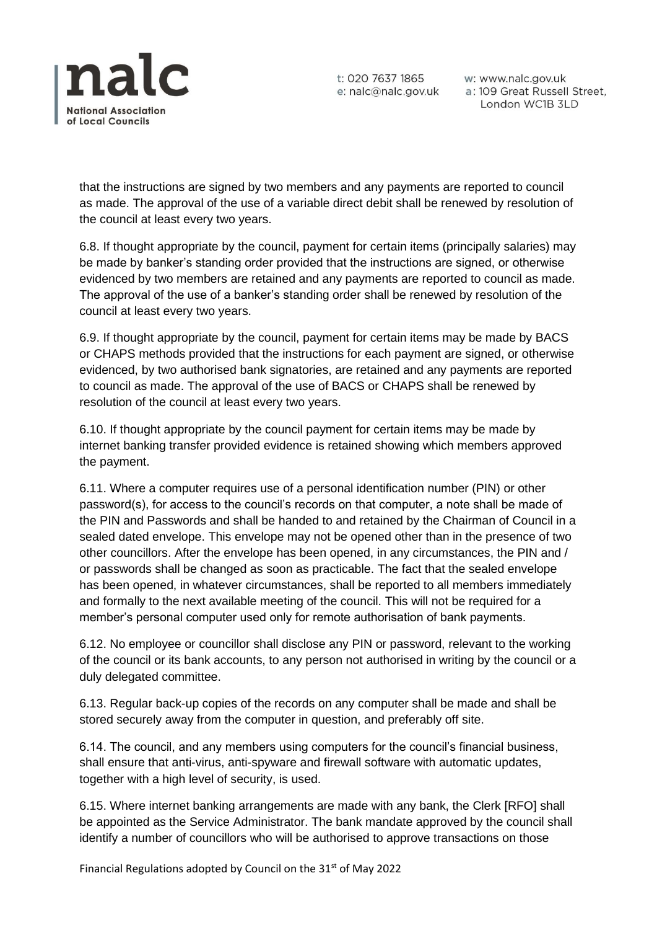

w: www.nalc.gov.uk a: 109 Great Russell Street, London WC1B 3LD

that the instructions are signed by two members and any payments are reported to council as made. The approval of the use of a variable direct debit shall be renewed by resolution of the council at least every two years.

6.8. If thought appropriate by the council, payment for certain items (principally salaries) may be made by banker's standing order provided that the instructions are signed, or otherwise evidenced by two members are retained and any payments are reported to council as made. The approval of the use of a banker's standing order shall be renewed by resolution of the council at least every two years.

6.9. If thought appropriate by the council, payment for certain items may be made by BACS or CHAPS methods provided that the instructions for each payment are signed, or otherwise evidenced, by two authorised bank signatories, are retained and any payments are reported to council as made. The approval of the use of BACS or CHAPS shall be renewed by resolution of the council at least every two years.

6.10. If thought appropriate by the council payment for certain items may be made by internet banking transfer provided evidence is retained showing which members approved the payment.

6.11. Where a computer requires use of a personal identification number (PIN) or other password(s), for access to the council's records on that computer, a note shall be made of the PIN and Passwords and shall be handed to and retained by the Chairman of Council in a sealed dated envelope. This envelope may not be opened other than in the presence of two other councillors. After the envelope has been opened, in any circumstances, the PIN and / or passwords shall be changed as soon as practicable. The fact that the sealed envelope has been opened, in whatever circumstances, shall be reported to all members immediately and formally to the next available meeting of the council. This will not be required for a member's personal computer used only for remote authorisation of bank payments.

6.12. No employee or councillor shall disclose any PIN or password, relevant to the working of the council or its bank accounts, to any person not authorised in writing by the council or a duly delegated committee.

6.13. Regular back-up copies of the records on any computer shall be made and shall be stored securely away from the computer in question, and preferably off site.

6.14. The council, and any members using computers for the council's financial business, shall ensure that anti-virus, anti-spyware and firewall software with automatic updates, together with a high level of security, is used.

6.15. Where internet banking arrangements are made with any bank, the Clerk [RFO] shall be appointed as the Service Administrator. The bank mandate approved by the council shall identify a number of councillors who will be authorised to approve transactions on those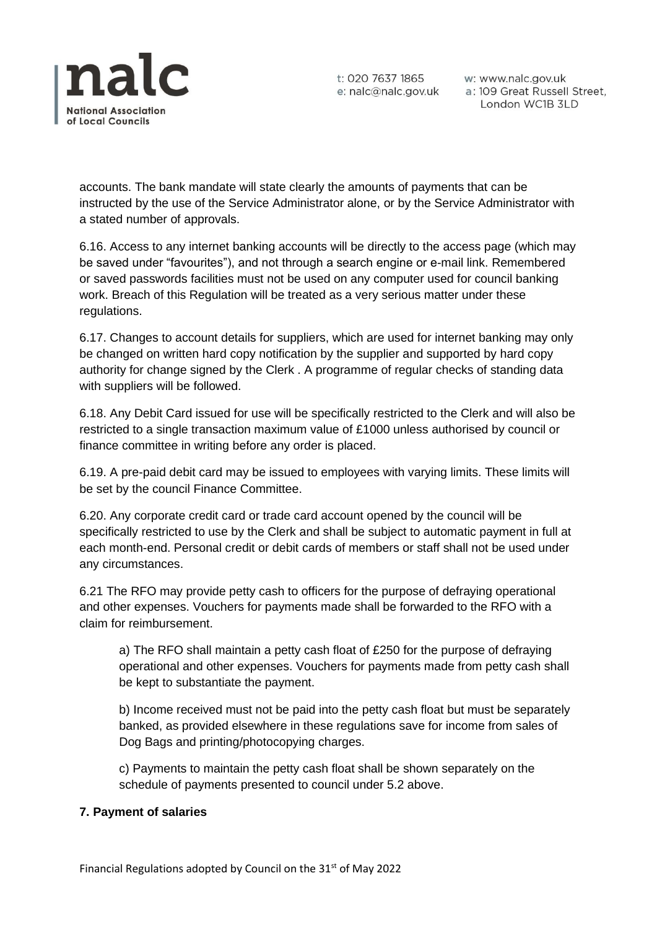

t: 020 7637 1865 w: www.nalc.gov.uk<br>e: nalc@nalc.gov.uk a: 109 Great Russell Street, London WC1B 3LD

accounts. The bank mandate will state clearly the amounts of payments that can be instructed by the use of the Service Administrator alone, or by the Service Administrator with a stated number of approvals.

6.16. Access to any internet banking accounts will be directly to the access page (which may be saved under "favourites"), and not through a search engine or e-mail link. Remembered or saved passwords facilities must not be used on any computer used for council banking work. Breach of this Regulation will be treated as a very serious matter under these regulations.

6.17. Changes to account details for suppliers, which are used for internet banking may only be changed on written hard copy notification by the supplier and supported by hard copy authority for change signed by the Clerk . A programme of regular checks of standing data with suppliers will be followed.

6.18. Any Debit Card issued for use will be specifically restricted to the Clerk and will also be restricted to a single transaction maximum value of £1000 unless authorised by council or finance committee in writing before any order is placed.

6.19. A pre-paid debit card may be issued to employees with varying limits. These limits will be set by the council Finance Committee.

6.20. Any corporate credit card or trade card account opened by the council will be specifically restricted to use by the Clerk and shall be subject to automatic payment in full at each month-end. Personal credit or debit cards of members or staff shall not be used under any circumstances.

6.21 The RFO may provide petty cash to officers for the purpose of defraying operational and other expenses. Vouchers for payments made shall be forwarded to the RFO with a claim for reimbursement.

a) The RFO shall maintain a petty cash float of £250 for the purpose of defraying operational and other expenses. Vouchers for payments made from petty cash shall be kept to substantiate the payment.

b) Income received must not be paid into the petty cash float but must be separately banked, as provided elsewhere in these regulations save for income from sales of Dog Bags and printing/photocopying charges.

c) Payments to maintain the petty cash float shall be shown separately on the schedule of payments presented to council under 5.2 above.

#### **7. Payment of salaries**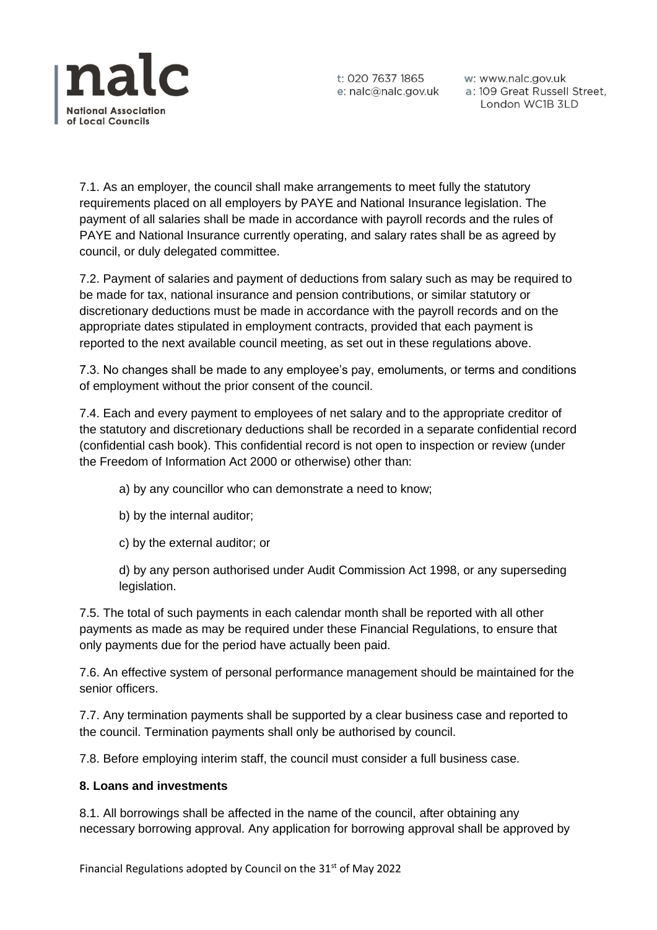

w: www.nalc.gov.uk a: 109 Great Russell Street, London WC1B 3LD

7.1. As an employer, the council shall make arrangements to meet fully the statutory requirements placed on all employers by PAYE and National Insurance legislation. The payment of all salaries shall be made in accordance with payroll records and the rules of PAYE and National Insurance currently operating, and salary rates shall be as agreed by council, or duly delegated committee.

7.2. Payment of salaries and payment of deductions from salary such as may be required to be made for tax, national insurance and pension contributions, or similar statutory or discretionary deductions must be made in accordance with the payroll records and on the appropriate dates stipulated in employment contracts, provided that each payment is reported to the next available council meeting, as set out in these regulations above.

7.3. No changes shall be made to any employee's pay, emoluments, or terms and conditions of employment without the prior consent of the council.

7.4. Each and every payment to employees of net salary and to the appropriate creditor of the statutory and discretionary deductions shall be recorded in a separate confidential record (confidential cash book). This confidential record is not open to inspection or review (under the Freedom of Information Act 2000 or otherwise) other than:

- a) by any councillor who can demonstrate a need to know;
- b) by the internal auditor;
- c) by the external auditor; or

d) by any person authorised under Audit Commission Act 1998, or any superseding legislation.

7.5. The total of such payments in each calendar month shall be reported with all other payments as made as may be required under these Financial Regulations, to ensure that only payments due for the period have actually been paid.

7.6. An effective system of personal performance management should be maintained for the senior officers.

7.7. Any termination payments shall be supported by a clear business case and reported to the council. Termination payments shall only be authorised by council.

7.8. Before employing interim staff, the council must consider a full business case.

#### **8. Loans and investments**

8.1. All borrowings shall be affected in the name of the council, after obtaining any necessary borrowing approval. Any application for borrowing approval shall be approved by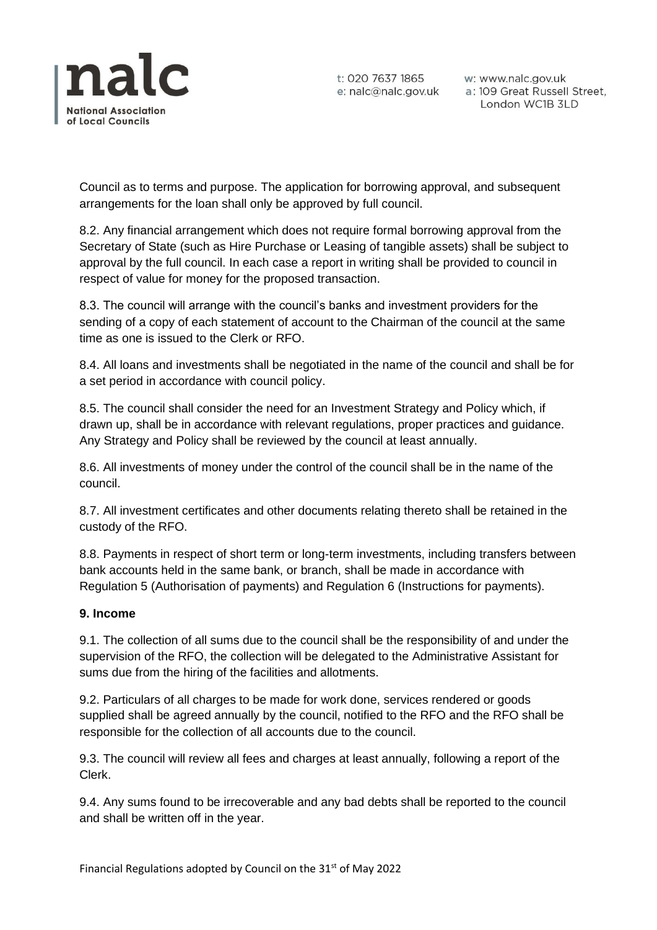

w: www.nalc.gov.uk w: www.nalc.gov.uk<br>a: 109 Great Russell Street,<br>London WC1B 3LD London WC1B 3LD

Council as to terms and purpose. The application for borrowing approval, and subsequent arrangements for the loan shall only be approved by full council.

8.2. Any financial arrangement which does not require formal borrowing approval from the Secretary of State (such as Hire Purchase or Leasing of tangible assets) shall be subject to approval by the full council. In each case a report in writing shall be provided to council in respect of value for money for the proposed transaction.

8.3. The council will arrange with the council's banks and investment providers for the sending of a copy of each statement of account to the Chairman of the council at the same time as one is issued to the Clerk or RFO.

8.4. All loans and investments shall be negotiated in the name of the council and shall be for a set period in accordance with council policy.

8.5. The council shall consider the need for an Investment Strategy and Policy which, if drawn up, shall be in accordance with relevant regulations, proper practices and guidance. Any Strategy and Policy shall be reviewed by the council at least annually.

8.6. All investments of money under the control of the council shall be in the name of the council.

8.7. All investment certificates and other documents relating thereto shall be retained in the custody of the RFO.

8.8. Payments in respect of short term or long-term investments, including transfers between bank accounts held in the same bank, or branch, shall be made in accordance with Regulation 5 (Authorisation of payments) and Regulation 6 (Instructions for payments).

#### **9. Income**

9.1. The collection of all sums due to the council shall be the responsibility of and under the supervision of the RFO, the collection will be delegated to the Administrative Assistant for sums due from the hiring of the facilities and allotments.

9.2. Particulars of all charges to be made for work done, services rendered or goods supplied shall be agreed annually by the council, notified to the RFO and the RFO shall be responsible for the collection of all accounts due to the council.

9.3. The council will review all fees and charges at least annually, following a report of the Clerk.

9.4. Any sums found to be irrecoverable and any bad debts shall be reported to the council and shall be written off in the year.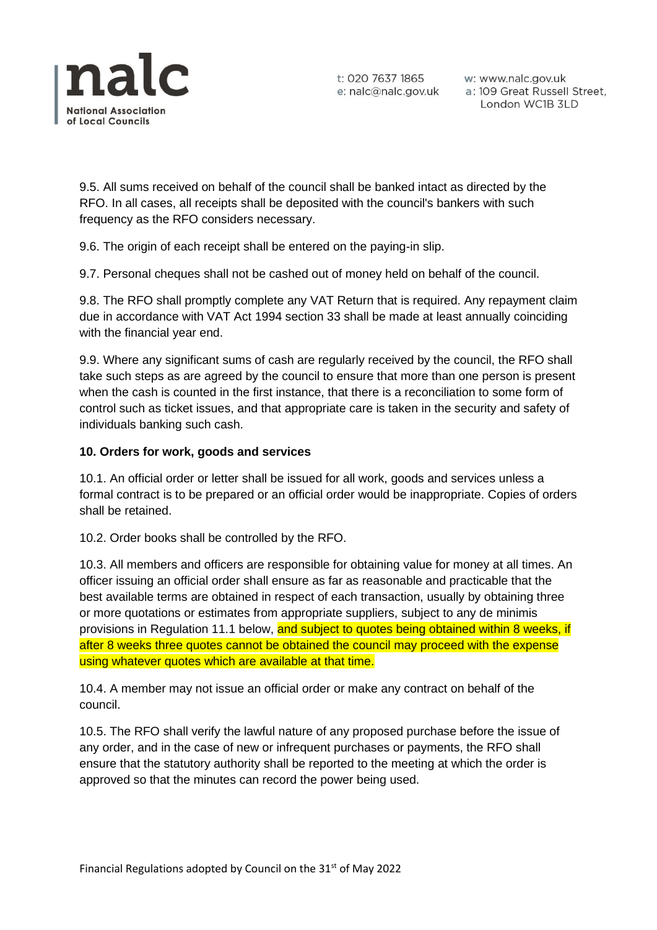

w: www.nalc.gov.uk a: 109 Great Russell Street, London WC1B 3LD

9.5. All sums received on behalf of the council shall be banked intact as directed by the RFO. In all cases, all receipts shall be deposited with the council's bankers with such frequency as the RFO considers necessary.

9.6. The origin of each receipt shall be entered on the paying-in slip.

9.7. Personal cheques shall not be cashed out of money held on behalf of the council.

9.8. The RFO shall promptly complete any VAT Return that is required. Any repayment claim due in accordance with VAT Act 1994 section 33 shall be made at least annually coinciding with the financial year end.

9.9. Where any significant sums of cash are regularly received by the council, the RFO shall take such steps as are agreed by the council to ensure that more than one person is present when the cash is counted in the first instance, that there is a reconciliation to some form of control such as ticket issues, and that appropriate care is taken in the security and safety of individuals banking such cash.

## **10. Orders for work, goods and services**

10.1. An official order or letter shall be issued for all work, goods and services unless a formal contract is to be prepared or an official order would be inappropriate. Copies of orders shall be retained.

10.2. Order books shall be controlled by the RFO.

10.3. All members and officers are responsible for obtaining value for money at all times. An officer issuing an official order shall ensure as far as reasonable and practicable that the best available terms are obtained in respect of each transaction, usually by obtaining three or more quotations or estimates from appropriate suppliers, subject to any de minimis provisions in Regulation 11.1 below, and subject to quotes being obtained within 8 weeks, if after 8 weeks three quotes cannot be obtained the council may proceed with the expense using whatever quotes which are available at that time.

10.4. A member may not issue an official order or make any contract on behalf of the council.

10.5. The RFO shall verify the lawful nature of any proposed purchase before the issue of any order, and in the case of new or infrequent purchases or payments, the RFO shall ensure that the statutory authority shall be reported to the meeting at which the order is approved so that the minutes can record the power being used.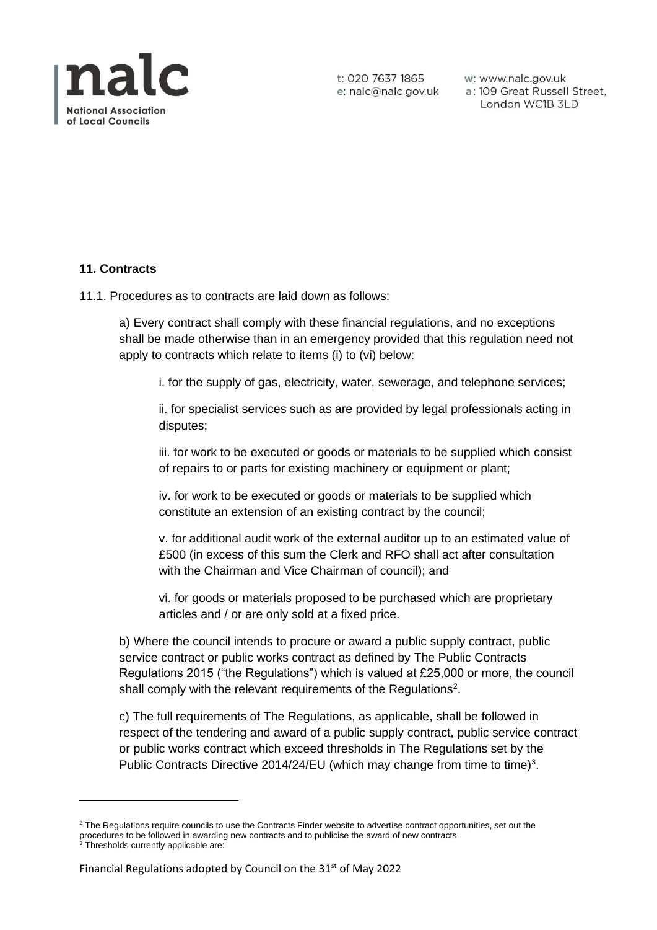

w: www.nalc.gov.uk a: 109 Great Russell Street, London WC1B 3LD

#### **11. Contracts**

11.1. Procedures as to contracts are laid down as follows:

a) Every contract shall comply with these financial regulations, and no exceptions shall be made otherwise than in an emergency provided that this regulation need not apply to contracts which relate to items (i) to (vi) below:

i. for the supply of gas, electricity, water, sewerage, and telephone services;

ii. for specialist services such as are provided by legal professionals acting in disputes;

iii. for work to be executed or goods or materials to be supplied which consist of repairs to or parts for existing machinery or equipment or plant;

iv. for work to be executed or goods or materials to be supplied which constitute an extension of an existing contract by the council;

v. for additional audit work of the external auditor up to an estimated value of £500 (in excess of this sum the Clerk and RFO shall act after consultation with the Chairman and Vice Chairman of council); and

vi. for goods or materials proposed to be purchased which are proprietary articles and / or are only sold at a fixed price.

b) Where the council intends to procure or award a public supply contract, public service contract or public works contract as defined by The Public Contracts Regulations 2015 ("the Regulations") which is valued at £25,000 or more, the council shall comply with the relevant requirements of the Regulations<sup>2</sup>.

c) The full requirements of The Regulations, as applicable, shall be followed in respect of the tendering and award of a public supply contract, public service contract or public works contract which exceed thresholds in The Regulations set by the Public Contracts Directive 2014/24/EU (which may change from time to time)<sup>3</sup>.

<sup>&</sup>lt;sup>2</sup> The Regulations require councils to use the Contracts Finder website to advertise contract opportunities, set out the procedures to be followed in awarding new contracts and to publicise the award of new contracts <sup>3</sup> Thresholds currently applicable are: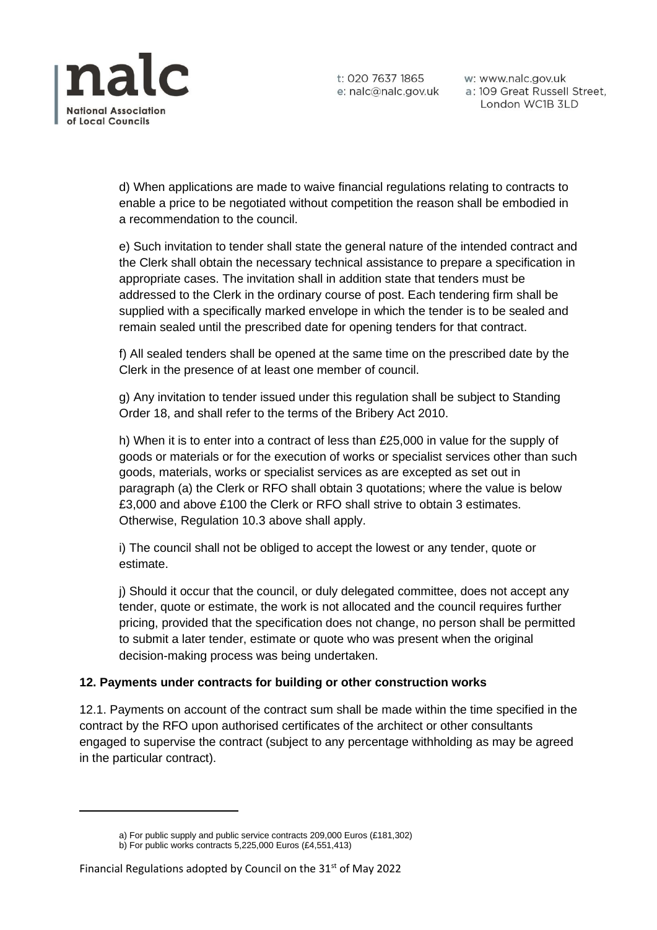

w: www.nalc.gov.uk a: 109 Great Russell Street, London WC1B 3LD

d) When applications are made to waive financial regulations relating to contracts to enable a price to be negotiated without competition the reason shall be embodied in a recommendation to the council.

e) Such invitation to tender shall state the general nature of the intended contract and the Clerk shall obtain the necessary technical assistance to prepare a specification in appropriate cases. The invitation shall in addition state that tenders must be addressed to the Clerk in the ordinary course of post. Each tendering firm shall be supplied with a specifically marked envelope in which the tender is to be sealed and remain sealed until the prescribed date for opening tenders for that contract.

f) All sealed tenders shall be opened at the same time on the prescribed date by the Clerk in the presence of at least one member of council.

g) Any invitation to tender issued under this regulation shall be subject to Standing Order 18, and shall refer to the terms of the Bribery Act 2010.

h) When it is to enter into a contract of less than £25,000 in value for the supply of goods or materials or for the execution of works or specialist services other than such goods, materials, works or specialist services as are excepted as set out in paragraph (a) the Clerk or RFO shall obtain 3 quotations; where the value is below £3,000 and above £100 the Clerk or RFO shall strive to obtain 3 estimates. Otherwise, Regulation 10.3 above shall apply.

i) The council shall not be obliged to accept the lowest or any tender, quote or estimate.

j) Should it occur that the council, or duly delegated committee, does not accept any tender, quote or estimate, the work is not allocated and the council requires further pricing, provided that the specification does not change, no person shall be permitted to submit a later tender, estimate or quote who was present when the original decision-making process was being undertaken.

# **12. Payments under contracts for building or other construction works**

12.1. Payments on account of the contract sum shall be made within the time specified in the contract by the RFO upon authorised certificates of the architect or other consultants engaged to supervise the contract (subject to any percentage withholding as may be agreed in the particular contract).

a) For public supply and public service contracts 209,000 Euros (£181,302)

b) For public works contracts 5,225,000 Euros (£4,551,413)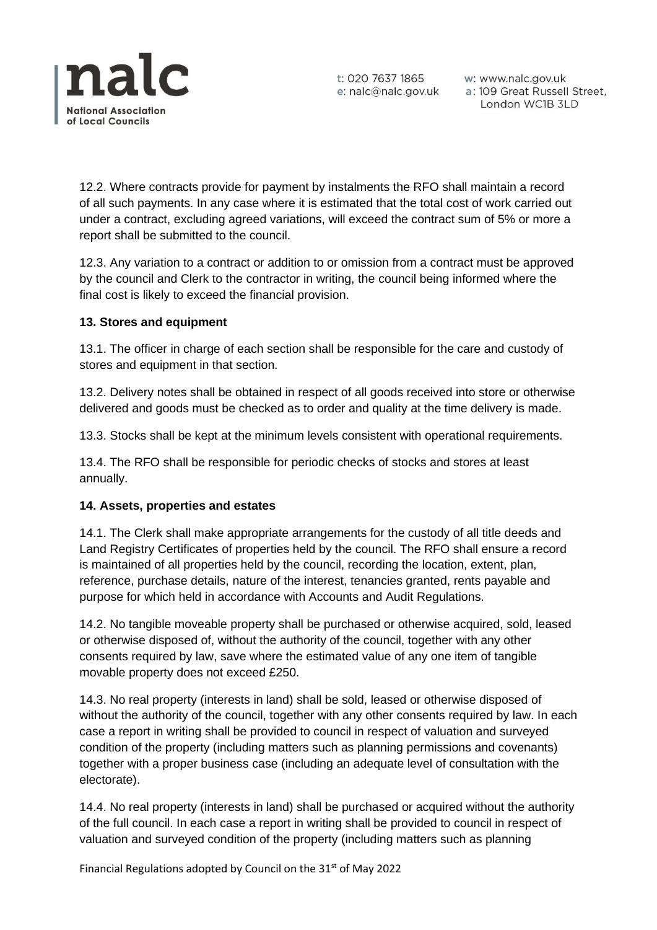

w: www.nalc.gov.uk a: 109 Great Russell Street, London WC1B 3LD

12.2. Where contracts provide for payment by instalments the RFO shall maintain a record of all such payments. In any case where it is estimated that the total cost of work carried out under a contract, excluding agreed variations, will exceed the contract sum of 5% or more a report shall be submitted to the council.

12.3. Any variation to a contract or addition to or omission from a contract must be approved by the council and Clerk to the contractor in writing, the council being informed where the final cost is likely to exceed the financial provision.

## **13. Stores and equipment**

13.1. The officer in charge of each section shall be responsible for the care and custody of stores and equipment in that section.

13.2. Delivery notes shall be obtained in respect of all goods received into store or otherwise delivered and goods must be checked as to order and quality at the time delivery is made.

13.3. Stocks shall be kept at the minimum levels consistent with operational requirements.

13.4. The RFO shall be responsible for periodic checks of stocks and stores at least annually.

#### **14. Assets, properties and estates**

14.1. The Clerk shall make appropriate arrangements for the custody of all title deeds and Land Registry Certificates of properties held by the council. The RFO shall ensure a record is maintained of all properties held by the council, recording the location, extent, plan, reference, purchase details, nature of the interest, tenancies granted, rents payable and purpose for which held in accordance with Accounts and Audit Regulations.

14.2. No tangible moveable property shall be purchased or otherwise acquired, sold, leased or otherwise disposed of, without the authority of the council, together with any other consents required by law, save where the estimated value of any one item of tangible movable property does not exceed £250.

14.3. No real property (interests in land) shall be sold, leased or otherwise disposed of without the authority of the council, together with any other consents required by law. In each case a report in writing shall be provided to council in respect of valuation and surveyed condition of the property (including matters such as planning permissions and covenants) together with a proper business case (including an adequate level of consultation with the electorate).

14.4. No real property (interests in land) shall be purchased or acquired without the authority of the full council. In each case a report in writing shall be provided to council in respect of valuation and surveyed condition of the property (including matters such as planning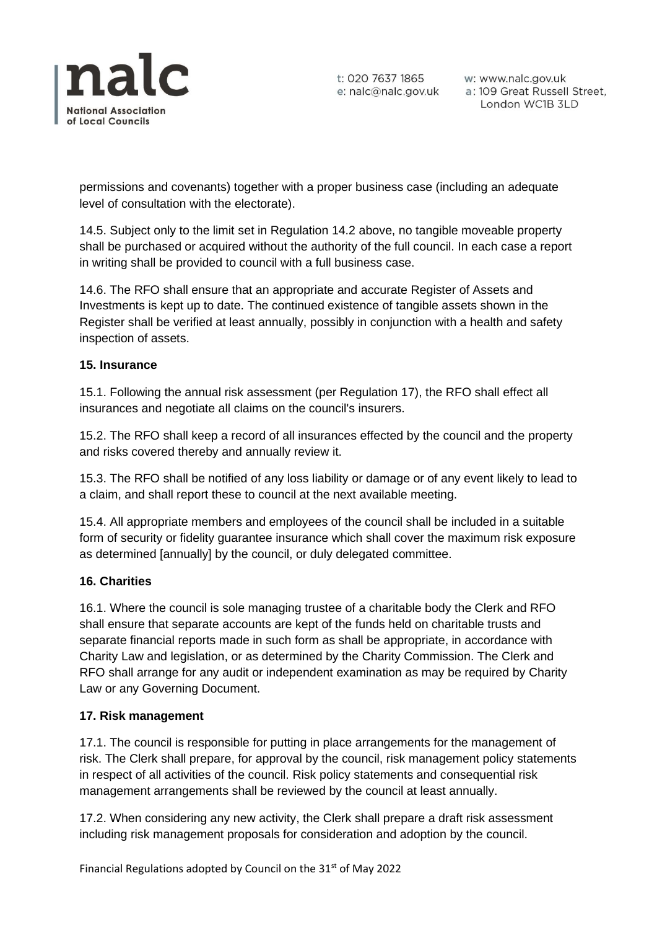

w: www.nalc.gov.uk a: 109 Great Russell Street, London WC1B 3LD

permissions and covenants) together with a proper business case (including an adequate level of consultation with the electorate).

14.5. Subject only to the limit set in Regulation 14.2 above, no tangible moveable property shall be purchased or acquired without the authority of the full council. In each case a report in writing shall be provided to council with a full business case.

14.6. The RFO shall ensure that an appropriate and accurate Register of Assets and Investments is kept up to date. The continued existence of tangible assets shown in the Register shall be verified at least annually, possibly in conjunction with a health and safety inspection of assets.

## **15. Insurance**

15.1. Following the annual risk assessment (per Regulation 17), the RFO shall effect all insurances and negotiate all claims on the council's insurers.

15.2. The RFO shall keep a record of all insurances effected by the council and the property and risks covered thereby and annually review it.

15.3. The RFO shall be notified of any loss liability or damage or of any event likely to lead to a claim, and shall report these to council at the next available meeting.

15.4. All appropriate members and employees of the council shall be included in a suitable form of security or fidelity guarantee insurance which shall cover the maximum risk exposure as determined [annually] by the council, or duly delegated committee.

#### **16. Charities**

16.1. Where the council is sole managing trustee of a charitable body the Clerk and RFO shall ensure that separate accounts are kept of the funds held on charitable trusts and separate financial reports made in such form as shall be appropriate, in accordance with Charity Law and legislation, or as determined by the Charity Commission. The Clerk and RFO shall arrange for any audit or independent examination as may be required by Charity Law or any Governing Document.

#### **17. Risk management**

17.1. The council is responsible for putting in place arrangements for the management of risk. The Clerk shall prepare, for approval by the council, risk management policy statements in respect of all activities of the council. Risk policy statements and consequential risk management arrangements shall be reviewed by the council at least annually.

17.2. When considering any new activity, the Clerk shall prepare a draft risk assessment including risk management proposals for consideration and adoption by the council.